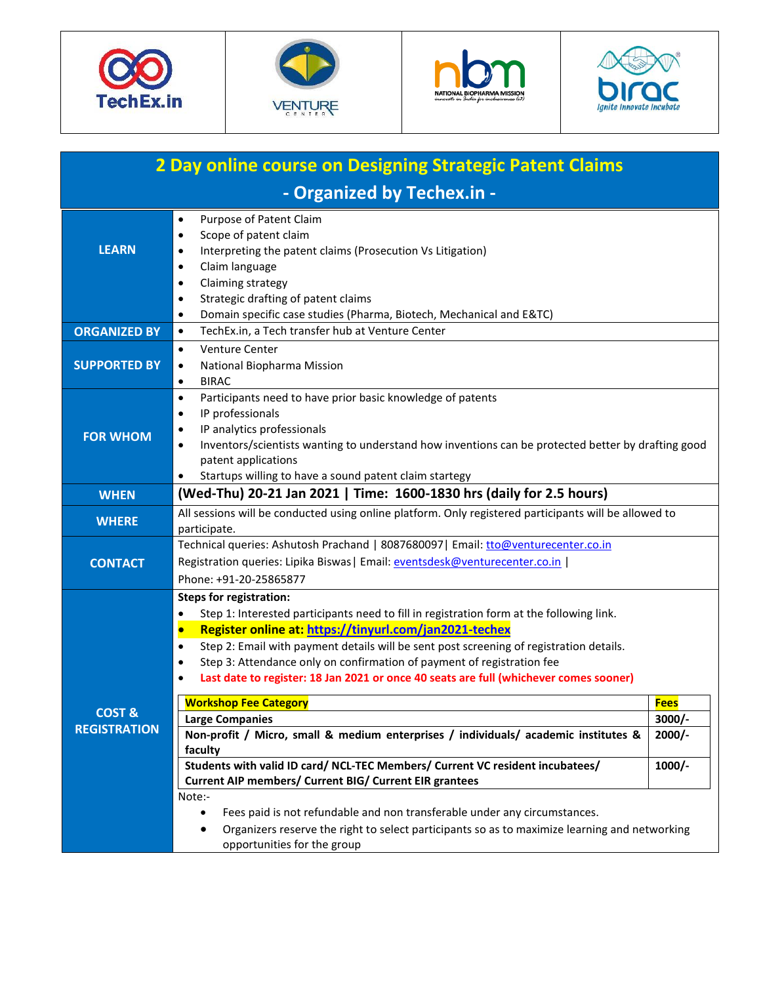







| 2 Day online course on Designing Strategic Patent Claims |                                                                                                                                                                                                                                                                                                                                                                                                                                                                                                                                                                                                                                                                                                                                                                                                                                                                                                                                                                                                                                                                |                                                 |  |  |  |
|----------------------------------------------------------|----------------------------------------------------------------------------------------------------------------------------------------------------------------------------------------------------------------------------------------------------------------------------------------------------------------------------------------------------------------------------------------------------------------------------------------------------------------------------------------------------------------------------------------------------------------------------------------------------------------------------------------------------------------------------------------------------------------------------------------------------------------------------------------------------------------------------------------------------------------------------------------------------------------------------------------------------------------------------------------------------------------------------------------------------------------|-------------------------------------------------|--|--|--|
| - Organized by Techex.in -                               |                                                                                                                                                                                                                                                                                                                                                                                                                                                                                                                                                                                                                                                                                                                                                                                                                                                                                                                                                                                                                                                                |                                                 |  |  |  |
| <b>LEARN</b>                                             | Purpose of Patent Claim<br>$\bullet$<br>Scope of patent claim<br>$\bullet$<br>Interpreting the patent claims (Prosecution Vs Litigation)<br>$\bullet$<br>Claim language<br>$\bullet$<br>Claiming strategy<br>$\bullet$<br>Strategic drafting of patent claims<br>$\bullet$<br>Domain specific case studies (Pharma, Biotech, Mechanical and E&TC)<br>$\bullet$                                                                                                                                                                                                                                                                                                                                                                                                                                                                                                                                                                                                                                                                                                 |                                                 |  |  |  |
| <b>ORGANIZED BY</b>                                      | TechEx.in, a Tech transfer hub at Venture Center<br>$\bullet$                                                                                                                                                                                                                                                                                                                                                                                                                                                                                                                                                                                                                                                                                                                                                                                                                                                                                                                                                                                                  |                                                 |  |  |  |
| <b>SUPPORTED BY</b>                                      | <b>Venture Center</b><br>$\bullet$<br>National Biopharma Mission<br>$\bullet$<br><b>BIRAC</b><br>$\bullet$                                                                                                                                                                                                                                                                                                                                                                                                                                                                                                                                                                                                                                                                                                                                                                                                                                                                                                                                                     |                                                 |  |  |  |
| <b>FOR WHOM</b>                                          | Participants need to have prior basic knowledge of patents<br>$\bullet$<br>IP professionals<br>$\bullet$<br>IP analytics professionals<br>$\bullet$<br>Inventors/scientists wanting to understand how inventions can be protected better by drafting good<br>$\bullet$<br>patent applications<br>Startups willing to have a sound patent claim startegy<br>$\bullet$                                                                                                                                                                                                                                                                                                                                                                                                                                                                                                                                                                                                                                                                                           |                                                 |  |  |  |
| <b>WHEN</b>                                              | (Wed-Thu) 20-21 Jan 2021   Time: 1600-1830 hrs (daily for 2.5 hours)                                                                                                                                                                                                                                                                                                                                                                                                                                                                                                                                                                                                                                                                                                                                                                                                                                                                                                                                                                                           |                                                 |  |  |  |
| <b>WHERE</b>                                             | All sessions will be conducted using online platform. Only registered participants will be allowed to<br>participate.                                                                                                                                                                                                                                                                                                                                                                                                                                                                                                                                                                                                                                                                                                                                                                                                                                                                                                                                          |                                                 |  |  |  |
| <b>CONTACT</b>                                           | Technical queries: Ashutosh Prachand   8087680097   Email: tto@venturecenter.co.in<br>Registration queries: Lipika Biswas   Email: eventsdesk@venturecenter.co.in  <br>Phone: +91-20-25865877                                                                                                                                                                                                                                                                                                                                                                                                                                                                                                                                                                                                                                                                                                                                                                                                                                                                  |                                                 |  |  |  |
| COST &<br><b>REGISTRATION</b>                            | <b>Steps for registration:</b><br>Step 1: Interested participants need to fill in registration form at the following link.<br>$\bullet$<br>Register online at: https://tinyurl.com/jan2021-techex<br>$\bullet$<br>Step 2: Email with payment details will be sent post screening of registration details.<br>$\bullet$<br>Step 3: Attendance only on confirmation of payment of registration fee<br>$\bullet$<br>Last date to register: 18 Jan 2021 or once 40 seats are full (whichever comes sooner)<br>$\bullet$<br><b>Workshop Fee Category</b><br><b>Large Companies</b><br>Non-profit / Micro, small & medium enterprises / individuals/ academic institutes &<br>faculty<br>Students with valid ID card/ NCL-TEC Members/ Current VC resident incubatees/<br>Current AIP members/ Current BIG/ Current EIR grantees<br>Note:-<br>Fees paid is not refundable and non transferable under any circumstances.<br>$\bullet$<br>Organizers reserve the right to select participants so as to maximize learning and networking<br>opportunities for the group | <b>Fees</b><br>$3000/-$<br>$2000/-$<br>$1000/-$ |  |  |  |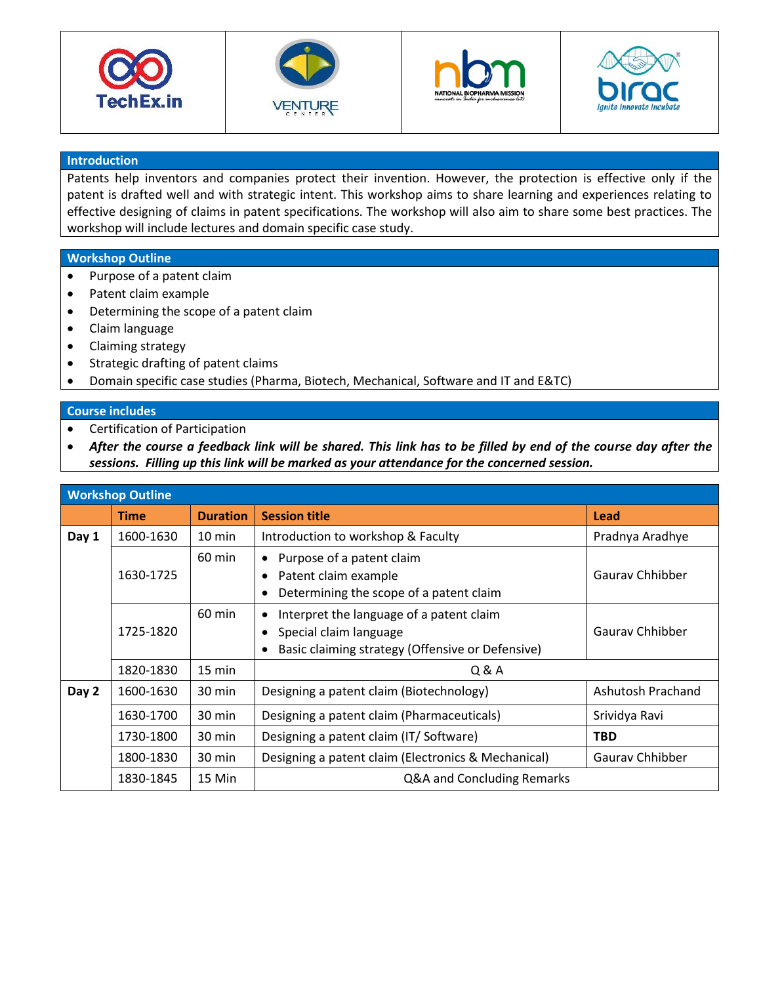







## **Introduction**

Patents help inventors and companies protect their invention. However, the protection is effective only if the patent is drafted well and with strategic intent. This workshop aims to share learning and experiences relating to effective designing of claims in patent specifications. The workshop will also aim to share some best practices. The workshop will include lectures and domain specific case study.

## **Workshop Outline**

- Purpose of a patent claim
- Patent claim example
- Determining the scope of a patent claim
- Claim language
- Claiming strategy
- Strategic drafting of patent claims
- Domain specific case studies (Pharma, Biotech, Mechanical, Software and IT and E&TC)

## **Course includes**

- Certification of Participation
- *After the course a feedback link will be shared. This link has to be filled by end of the course day after the sessions. Filling up this link will be marked as your attendance for the concerned session.*

| <b>Workshop Outline</b> |             |                  |                                                                                                                             |                   |  |  |
|-------------------------|-------------|------------------|-----------------------------------------------------------------------------------------------------------------------------|-------------------|--|--|
|                         | <b>Time</b> | <b>Duration</b>  | <b>Session title</b>                                                                                                        | Lead              |  |  |
| Day 1                   | 1600-1630   | $10 \text{ min}$ | Introduction to workshop & Faculty                                                                                          | Pradnya Aradhye   |  |  |
|                         | 1630-1725   | $60 \text{ min}$ | Purpose of a patent claim<br>$\bullet$<br>Patent claim example<br>Determining the scope of a patent claim<br>$\bullet$      | Gauray Chhibber   |  |  |
|                         | 1725-1820   | $60 \text{ min}$ | Interpret the language of a patent claim<br>٠<br>Special claim language<br>Basic claiming strategy (Offensive or Defensive) | Gauray Chhibber   |  |  |
|                         | 1820-1830   | 15 min           | Q & A                                                                                                                       |                   |  |  |
| Day 2                   | 1600-1630   | $30 \text{ min}$ | Designing a patent claim (Biotechnology)                                                                                    | Ashutosh Prachand |  |  |
|                         | 1630-1700   | 30 min           | Designing a patent claim (Pharmaceuticals)                                                                                  | Srividya Ravi     |  |  |
|                         | 1730-1800   | 30 min           | Designing a patent claim (IT/Software)                                                                                      | <b>TBD</b>        |  |  |
|                         | 1800-1830   | 30 min           | Designing a patent claim (Electronics & Mechanical)                                                                         | Gauray Chhibber   |  |  |
|                         | 1830-1845   | 15 Min           | Q&A and Concluding Remarks                                                                                                  |                   |  |  |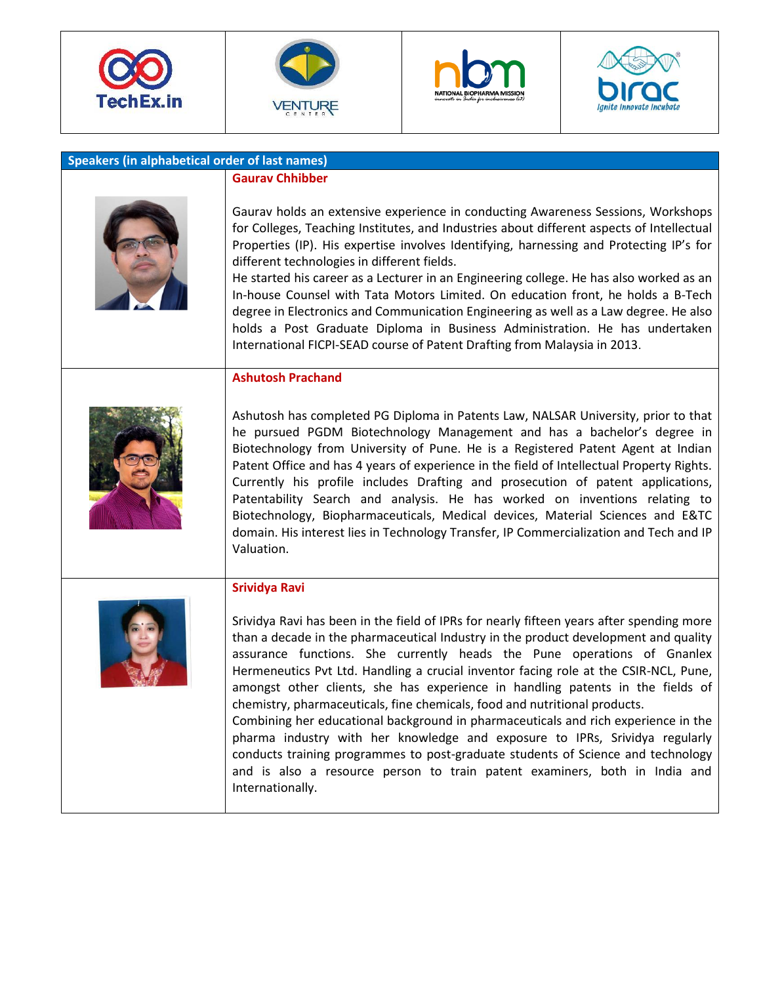







| Speakers (in alphabetical order of last names) |                                                                                                                                                                                                                                                                                                                                                                                                                                                                                                                                                                                                                                                                                                                                                                                                                                                                                                       |  |  |  |
|------------------------------------------------|-------------------------------------------------------------------------------------------------------------------------------------------------------------------------------------------------------------------------------------------------------------------------------------------------------------------------------------------------------------------------------------------------------------------------------------------------------------------------------------------------------------------------------------------------------------------------------------------------------------------------------------------------------------------------------------------------------------------------------------------------------------------------------------------------------------------------------------------------------------------------------------------------------|--|--|--|
|                                                | <b>Gaurav Chhibber</b>                                                                                                                                                                                                                                                                                                                                                                                                                                                                                                                                                                                                                                                                                                                                                                                                                                                                                |  |  |  |
|                                                | Gaurav holds an extensive experience in conducting Awareness Sessions, Workshops<br>for Colleges, Teaching Institutes, and Industries about different aspects of Intellectual<br>Properties (IP). His expertise involves Identifying, harnessing and Protecting IP's for<br>different technologies in different fields.<br>He started his career as a Lecturer in an Engineering college. He has also worked as an<br>In-house Counsel with Tata Motors Limited. On education front, he holds a B-Tech<br>degree in Electronics and Communication Engineering as well as a Law degree. He also<br>holds a Post Graduate Diploma in Business Administration. He has undertaken<br>International FICPI-SEAD course of Patent Drafting from Malaysia in 2013.                                                                                                                                            |  |  |  |
|                                                | <b>Ashutosh Prachand</b>                                                                                                                                                                                                                                                                                                                                                                                                                                                                                                                                                                                                                                                                                                                                                                                                                                                                              |  |  |  |
|                                                | Ashutosh has completed PG Diploma in Patents Law, NALSAR University, prior to that<br>he pursued PGDM Biotechnology Management and has a bachelor's degree in<br>Biotechnology from University of Pune. He is a Registered Patent Agent at Indian<br>Patent Office and has 4 years of experience in the field of Intellectual Property Rights.<br>Currently his profile includes Drafting and prosecution of patent applications,<br>Patentability Search and analysis. He has worked on inventions relating to<br>Biotechnology, Biopharmaceuticals, Medical devices, Material Sciences and E&TC<br>domain. His interest lies in Technology Transfer, IP Commercialization and Tech and IP<br>Valuation.                                                                                                                                                                                             |  |  |  |
|                                                | <b>Srividya Ravi</b><br>Srividya Ravi has been in the field of IPRs for nearly fifteen years after spending more<br>than a decade in the pharmaceutical Industry in the product development and quality<br>assurance functions. She currently heads the Pune operations of Gnanlex<br>Hermeneutics Pvt Ltd. Handling a crucial inventor facing role at the CSIR-NCL, Pune,<br>amongst other clients, she has experience in handling patents in the fields of<br>chemistry, pharmaceuticals, fine chemicals, food and nutritional products.<br>Combining her educational background in pharmaceuticals and rich experience in the<br>pharma industry with her knowledge and exposure to IPRs, Srividya regularly<br>conducts training programmes to post-graduate students of Science and technology<br>and is also a resource person to train patent examiners, both in India and<br>Internationally. |  |  |  |